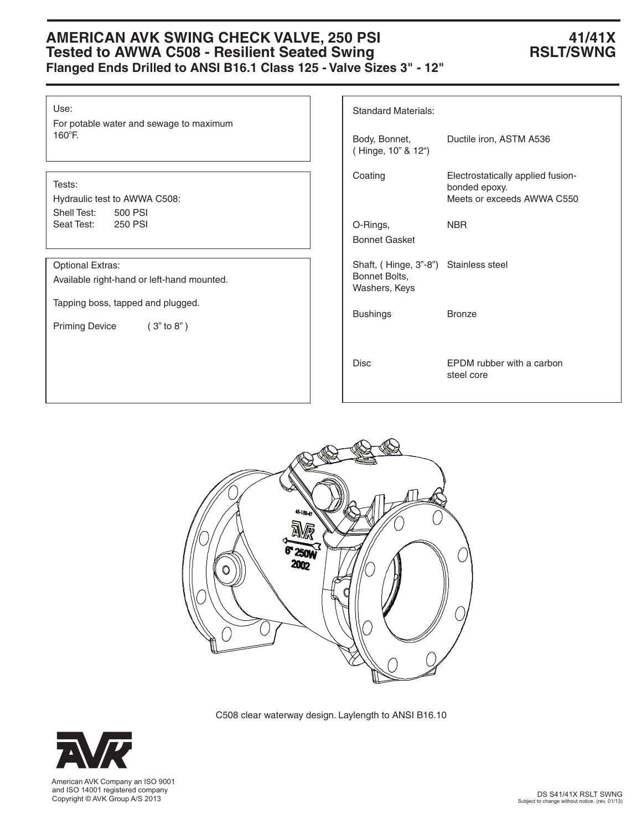# AMERICAN AVK SWING CHECK VALVE, 250 PSI **41/41X**<br>Tested to AWWA C508 - Resilient Seated Swing **ARES** RSLT/SWNG **Tested to AWWA C508 - Resilient Seated Swing Flanged Ends Drilled to ANSI B16.1 Class 125 - Valve Sizes 3" - 12"**

Use:

For potable water and sewage to maximum 160°F.

## Tests:

Hydraulic test to AWWA C508: Shell Test: 500 PSI Seat Test: 250 PSI

Optional Extras:

Available right-hand or left-hand mounted.

Tapping boss, tapped and plugged.

Priming Device (3" to 8")

| <b>Standard Materials:</b>                                              |                                                                                  |
|-------------------------------------------------------------------------|----------------------------------------------------------------------------------|
| Body, Bonnet,<br>(Hinge, 10" & 12")                                     | Ductile iron, ASTM A536                                                          |
| Coating                                                                 | Electrostatically applied fusion-<br>bonded epoxy.<br>Meets or exceeds AWWA C550 |
| O-Rings,<br><b>Bonnet Gasket</b>                                        | <b>NBR</b>                                                                       |
| Shaft, (Hinge, 3"-8") Stainless steel<br>Bonnet Bolts,<br>Washers, Keys |                                                                                  |
| Bushings                                                                | <b>Bronze</b>                                                                    |
| Disc                                                                    | <b>EPDM</b> rubber with a carbon<br>steel core                                   |



C508 clear waterway design. Laylength to ANSI B16.10



 and ISO 14001 registered company Copyright © AVK Group A/S 2013